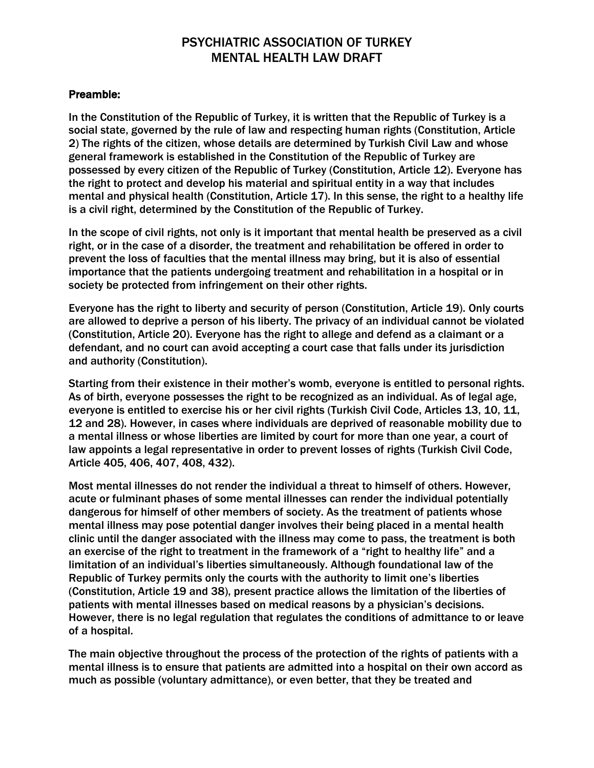#### Preamble:

In the Constitution of the Republic of Turkey, it is written that the Republic of Turkey is a social state, governed by the rule of law and respecting human rights (Constitution, Article 2) The rights of the citizen, whose details are determined by Turkish Civil Law and whose general framework is established in the Constitution of the Republic of Turkey are possessed by every citizen of the Republic of Turkey (Constitution, Article 12). Everyone has the right to protect and develop his material and spiritual entity in a way that includes mental and physical health (Constitution, Article 17). In this sense, the right to a healthy life is a civil right, determined by the Constitution of the Republic of Turkey.

In the scope of civil rights, not only is it important that mental health be preserved as a civil right, or in the case of a disorder, the treatment and rehabilitation be offered in order to prevent the loss of faculties that the mental illness may bring, but it is also of essential importance that the patients undergoing treatment and rehabilitation in a hospital or in society be protected from infringement on their other rights.

Everyone has the right to liberty and security of person (Constitution, Article 19). Only courts are allowed to deprive a person of his liberty. The privacy of an individual cannot be violated (Constitution, Article 20). Everyone has the right to allege and defend as a claimant or a defendant, and no court can avoid accepting a court case that falls under its jurisdiction and authority (Constitution).

Starting from their existence in their mother's womb, everyone is entitled to personal rights. As of birth, everyone possesses the right to be recognized as an individual. As of legal age, everyone is entitled to exercise his or her civil rights (Turkish Civil Code, Articles 13, 10, 11, 12 and 28). However, in cases where individuals are deprived of reasonable mobility due to a mental illness or whose liberties are limited by court for more than one year, a court of law appoints a legal representative in order to prevent losses of rights (Turkish Civil Code, Article 405, 406, 407, 408, 432).

Most mental illnesses do not render the individual a threat to himself of others. However, acute or fulminant phases of some mental illnesses can render the individual potentially dangerous for himself of other members of society. As the treatment of patients whose mental illness may pose potential danger involves their being placed in a mental health clinic until the danger associated with the illness may come to pass, the treatment is both an exercise of the right to treatment in the framework of a "right to healthy life" and a limitation of an individual's liberties simultaneously. Although foundational law of the Republic of Turkey permits only the courts with the authority to limit one's liberties (Constitution, Article 19 and 38), present practice allows the limitation of the liberties of patients with mental illnesses based on medical reasons by a physician's decisions. However, there is no legal regulation that regulates the conditions of admittance to or leave of a hospital.

The main objective throughout the process of the protection of the rights of patients with a mental illness is to ensure that patients are admitted into a hospital on their own accord as much as possible (voluntary admittance), or even better, that they be treated and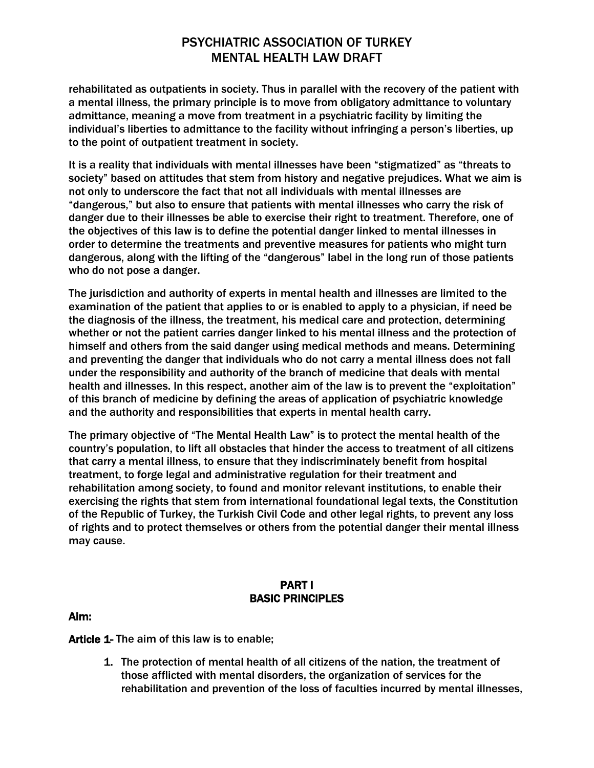rehabilitated as outpatients in society. Thus in parallel with the recovery of the patient with a mental illness, the primary principle is to move from obligatory admittance to voluntary admittance, meaning a move from treatment in a psychiatric facility by limiting the individual's liberties to admittance to the facility without infringing a person's liberties, up to the point of outpatient treatment in society.

It is a reality that individuals with mental illnesses have been "stigmatized" as "threats to society" based on attitudes that stem from history and negative prejudices. What we aim is not only to underscore the fact that not all individuals with mental illnesses are "dangerous," but also to ensure that patients with mental illnesses who carry the risk of danger due to their illnesses be able to exercise their right to treatment. Therefore, one of the objectives of this law is to define the potential danger linked to mental illnesses in order to determine the treatments and preventive measures for patients who might turn dangerous, along with the lifting of the "dangerous" label in the long run of those patients who do not pose a danger.

The jurisdiction and authority of experts in mental health and illnesses are limited to the examination of the patient that applies to or is enabled to apply to a physician, if need be the diagnosis of the illness, the treatment, his medical care and protection, determining whether or not the patient carries danger linked to his mental illness and the protection of himself and others from the said danger using medical methods and means. Determining and preventing the danger that individuals who do not carry a mental illness does not fall under the responsibility and authority of the branch of medicine that deals with mental health and illnesses. In this respect, another aim of the law is to prevent the "exploitation" of this branch of medicine by defining the areas of application of psychiatric knowledge and the authority and responsibilities that experts in mental health carry.

The primary objective of "The Mental Health Law" is to protect the mental health of the country's population, to lift all obstacles that hinder the access to treatment of all citizens that carry a mental illness, to ensure that they indiscriminately benefit from hospital treatment, to forge legal and administrative regulation for their treatment and rehabilitation among society, to found and monitor relevant institutions, to enable their exercising the rights that stem from international foundational legal texts, the Constitution of the Republic of Turkey, the Turkish Civil Code and other legal rights, to prevent any loss of rights and to protect themselves or others from the potential danger their mental illness may cause.

### PART I BASIC PRINCIPLES

Aim:

Article 1- The aim of this law is to enable;

1. The protection of mental health of all citizens of the nation, the treatment of those afflicted with mental disorders, the organization of services for the rehabilitation and prevention of the loss of faculties incurred by mental illnesses,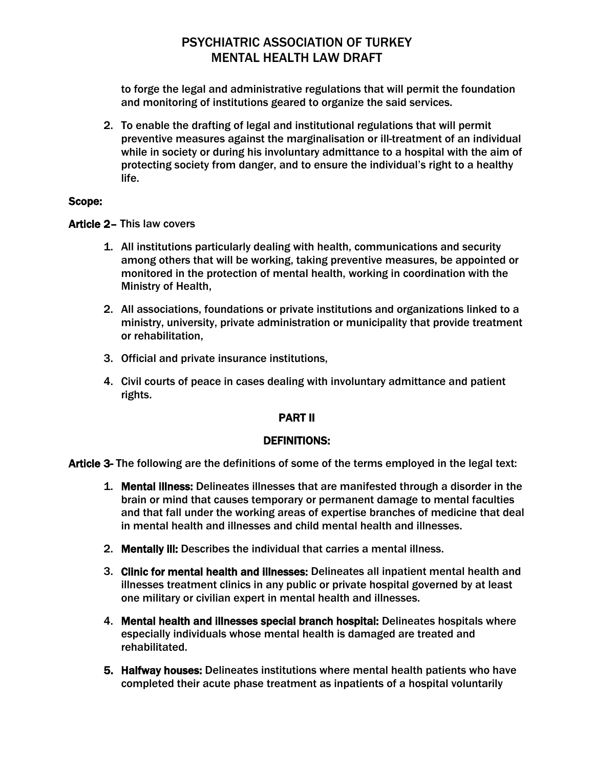to forge the legal and administrative regulations that will permit the foundation and monitoring of institutions geared to organize the said services.

2. To enable the drafting of legal and institutional regulations that will permit preventive measures against the marginalisation or ill-treatment of an individual while in society or during his involuntary admittance to a hospital with the aim of protecting society from danger, and to ensure the individual's right to a healthy life.

#### Scope:

- Article 2– This law covers
	- 1. All institutions particularly dealing with health, communications and security among others that will be working, taking preventive measures, be appointed or monitored in the protection of mental health, working in coordination with the Ministry of Health,
	- 2. All associations, foundations or private institutions and organizations linked to a ministry, university, private administration or municipality that provide treatment or rehabilitation,
	- 3. Official and private insurance institutions,
	- 4. Civil courts of peace in cases dealing with involuntary admittance and patient rights.

### PART II

#### DEFINITIONS:

Article 3- The following are the definitions of some of the terms employed in the legal text:

- 1. Mental illness: Delineates illnesses that are manifested through a disorder in the brain or mind that causes temporary or permanent damage to mental faculties and that fall under the working areas of expertise branches of medicine that deal in mental health and illnesses and child mental health and illnesses.
- 2. Mentally ill: Describes the individual that carries a mental illness.
- 3. Clinic for mental health and illnesses: Delineates all inpatient mental health and illnesses treatment clinics in any public or private hospital governed by at least one military or civilian expert in mental health and illnesses.
- 4. Mental health and illnesses special branch hospital: Delineates hospitals where especially individuals whose mental health is damaged are treated and rehabilitated.
- 5. Halfway houses: Delineates institutions where mental health patients who have completed their acute phase treatment as inpatients of a hospital voluntarily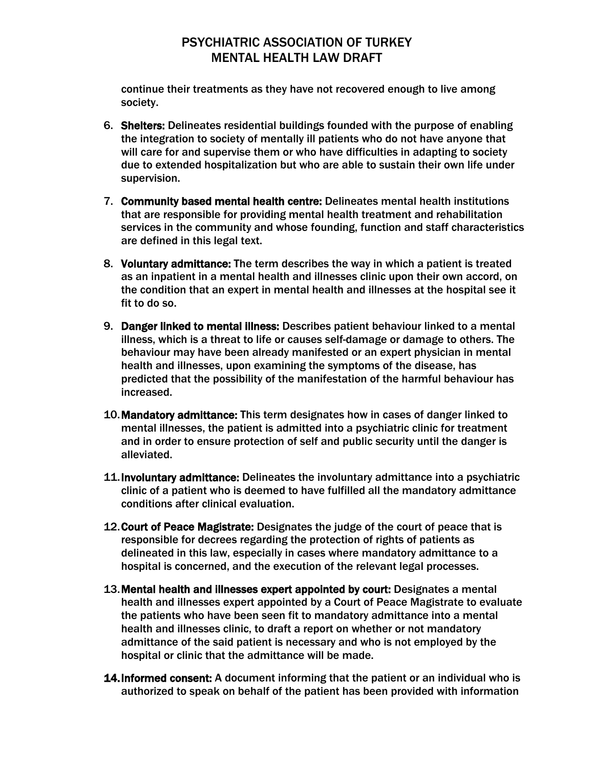continue their treatments as they have not recovered enough to live among society.

- 6. Shelters: Delineates residential buildings founded with the purpose of enabling the integration to society of mentally ill patients who do not have anyone that will care for and supervise them or who have difficulties in adapting to society due to extended hospitalization but who are able to sustain their own life under supervision.
- 7. Community based mental health centre: Delineates mental health institutions that are responsible for providing mental health treatment and rehabilitation services in the community and whose founding, function and staff characteristics are defined in this legal text.
- 8. Voluntary admittance: The term describes the way in which a patient is treated as an inpatient in a mental health and illnesses clinic upon their own accord, on the condition that an expert in mental health and illnesses at the hospital see it fit to do so.
- 9. Danger linked to mental illness: Describes patient behaviour linked to a mental illness, which is a threat to life or causes self-damage or damage to others. The behaviour may have been already manifested or an expert physician in mental health and illnesses, upon examining the symptoms of the disease, has predicted that the possibility of the manifestation of the harmful behaviour has increased.
- 10.Mandatory admittance: This term designates how in cases of danger linked to mental illnesses, the patient is admitted into a psychiatric clinic for treatment and in order to ensure protection of self and public security until the danger is alleviated.
- 11.Involuntary admittance: Delineates the involuntary admittance into a psychiatric clinic of a patient who is deemed to have fulfilled all the mandatory admittance conditions after clinical evaluation.
- 12.Court of Peace Magistrate: Designates the judge of the court of peace that is responsible for decrees regarding the protection of rights of patients as delineated in this law, especially in cases where mandatory admittance to a hospital is concerned, and the execution of the relevant legal processes.
- 13.Mental health and illnesses expert appointed by court: Designates a mental health and illnesses expert appointed by a Court of Peace Magistrate to evaluate the patients who have been seen fit to mandatory admittance into a mental health and illnesses clinic, to draft a report on whether or not mandatory admittance of the said patient is necessary and who is not employed by the hospital or clinic that the admittance will be made.
- 14.Informed consent: A document informing that the patient or an individual who is authorized to speak on behalf of the patient has been provided with information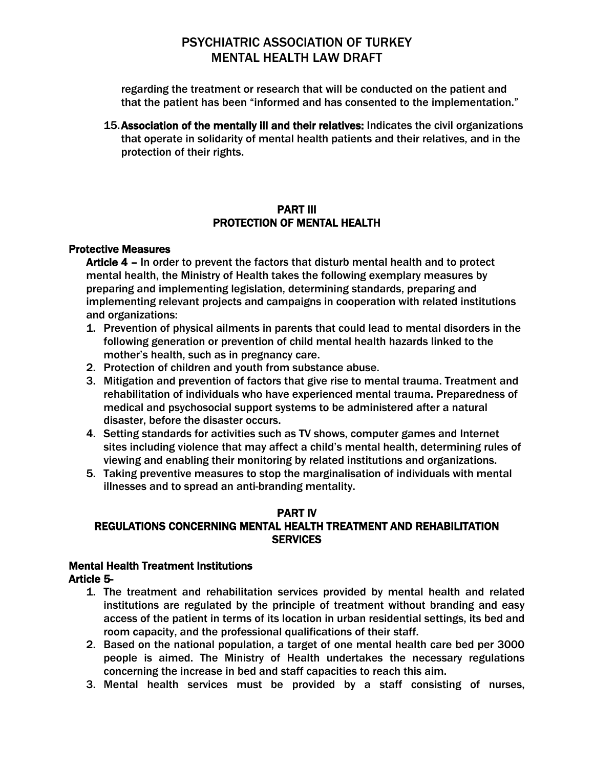regarding the treatment or research that will be conducted on the patient and that the patient has been "informed and has consented to the implementation."

15.Association of the mentally ill and their relatives: Indicates the civil organizations that operate in solidarity of mental health patients and their relatives, and in the protection of their rights.

### PART III PROTECTION OF MENTAL HEALTH

### Protective Measures

Article 4 – In order to prevent the factors that disturb mental health and to protect mental health, the Ministry of Health takes the following exemplary measures by preparing and implementing legislation, determining standards, preparing and implementing relevant projects and campaigns in cooperation with related institutions and organizations:

- 1. Prevention of physical ailments in parents that could lead to mental disorders in the following generation or prevention of child mental health hazards linked to the mother's health, such as in pregnancy care.
- 2. Protection of children and youth from substance abuse.
- 3. Mitigation and prevention of factors that give rise to mental trauma. Treatment and rehabilitation of individuals who have experienced mental trauma. Preparedness of medical and psychosocial support systems to be administered after a natural disaster, before the disaster occurs.
- 4. Setting standards for activities such as TV shows, computer games and Internet sites including violence that may affect a child's mental health, determining rules of viewing and enabling their monitoring by related institutions and organizations.
- 5. Taking preventive measures to stop the marginalisation of individuals with mental illnesses and to spread an anti-branding mentality.

### PART IV

### REGULATIONS CONCERNING MENTAL HEALTH TREATMENT AND REHABILITATION **SERVICES**

# Mental Health Treatment Institutions

- Article 5-
	- 1. The treatment and rehabilitation services provided by mental health and related institutions are regulated by the principle of treatment without branding and easy access of the patient in terms of its location in urban residential settings, its bed and room capacity, and the professional qualifications of their staff.
	- 2. Based on the national population, a target of one mental health care bed per 3000 people is aimed. The Ministry of Health undertakes the necessary regulations concerning the increase in bed and staff capacities to reach this aim.
	- 3. Mental health services must be provided by a staff consisting of nurses,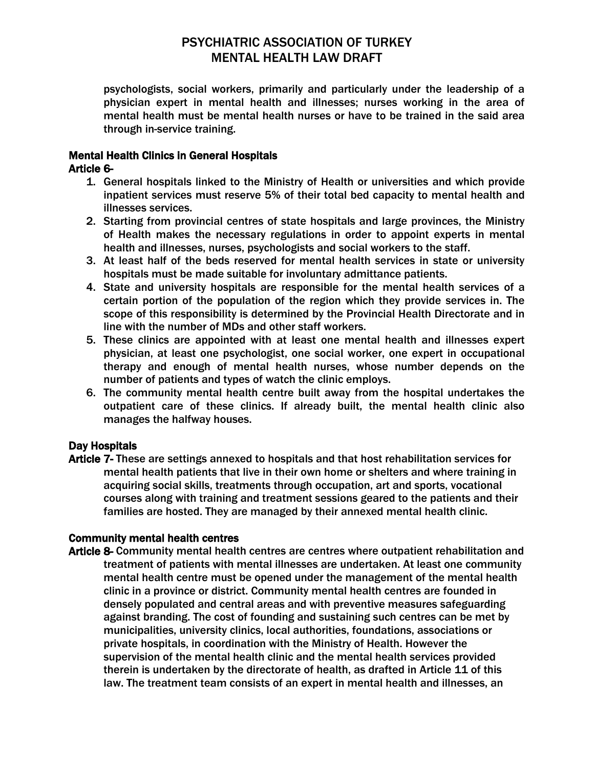psychologists, social workers, primarily and particularly under the leadership of a physician expert in mental health and illnesses; nurses working in the area of mental health must be mental health nurses or have to be trained in the said area through in-service training.

# Mental Health Clinics in General Hospitals

#### Article 6-

- 1. General hospitals linked to the Ministry of Health or universities and which provide inpatient services must reserve 5% of their total bed capacity to mental health and illnesses services.
- 2. Starting from provincial centres of state hospitals and large provinces, the Ministry of Health makes the necessary regulations in order to appoint experts in mental health and illnesses, nurses, psychologists and social workers to the staff.
- 3. At least half of the beds reserved for mental health services in state or university hospitals must be made suitable for involuntary admittance patients.
- 4. State and university hospitals are responsible for the mental health services of a certain portion of the population of the region which they provide services in. The scope of this responsibility is determined by the Provincial Health Directorate and in line with the number of MDs and other staff workers.
- 5. These clinics are appointed with at least one mental health and illnesses expert physician, at least one psychologist, one social worker, one expert in occupational therapy and enough of mental health nurses, whose number depends on the number of patients and types of watch the clinic employs.
- 6. The community mental health centre built away from the hospital undertakes the outpatient care of these clinics. If already built, the mental health clinic also manages the halfway houses.

### Day Hospitals

Article 7- These are settings annexed to hospitals and that host rehabilitation services for mental health patients that live in their own home or shelters and where training in acquiring social skills, treatments through occupation, art and sports, vocational courses along with training and treatment sessions geared to the patients and their families are hosted. They are managed by their annexed mental health clinic.

### Community mental health centres

Article 8- Community mental health centres are centres where outpatient rehabilitation and treatment of patients with mental illnesses are undertaken. At least one community mental health centre must be opened under the management of the mental health clinic in a province or district. Community mental health centres are founded in densely populated and central areas and with preventive measures safeguarding against branding. The cost of founding and sustaining such centres can be met by municipalities, university clinics, local authorities, foundations, associations or private hospitals, in coordination with the Ministry of Health. However the supervision of the mental health clinic and the mental health services provided therein is undertaken by the directorate of health, as drafted in Article 11 of this law. The treatment team consists of an expert in mental health and illnesses, an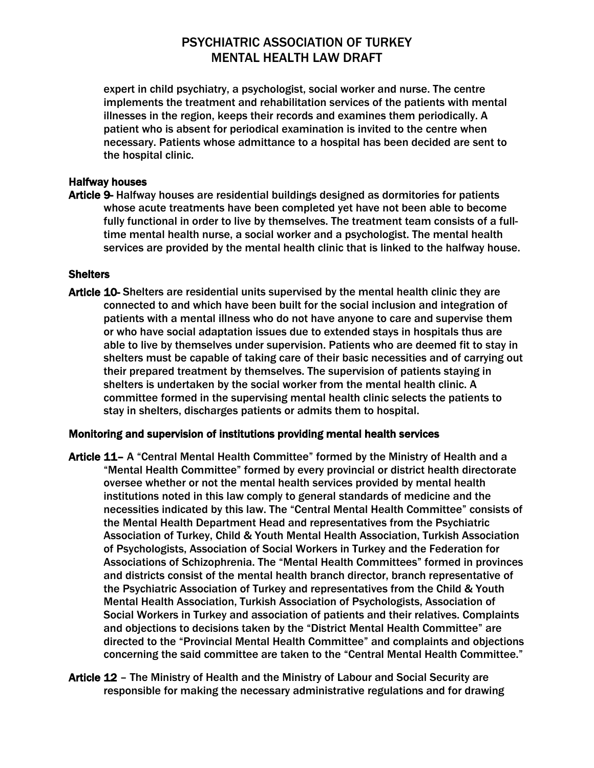expert in child psychiatry, a psychologist, social worker and nurse. The centre implements the treatment and rehabilitation services of the patients with mental illnesses in the region, keeps their records and examines them periodically. A patient who is absent for periodical examination is invited to the centre when necessary. Patients whose admittance to a hospital has been decided are sent to the hospital clinic.

#### Halfway houses

Article 9- Halfway houses are residential buildings designed as dormitories for patients whose acute treatments have been completed yet have not been able to become fully functional in order to live by themselves. The treatment team consists of a fulltime mental health nurse, a social worker and a psychologist. The mental health services are provided by the mental health clinic that is linked to the halfway house.

#### Shelters

Article 10- Shelters are residential units supervised by the mental health clinic they are connected to and which have been built for the social inclusion and integration of patients with a mental illness who do not have anyone to care and supervise them or who have social adaptation issues due to extended stays in hospitals thus are able to live by themselves under supervision. Patients who are deemed fit to stay in shelters must be capable of taking care of their basic necessities and of carrying out their prepared treatment by themselves. The supervision of patients staying in shelters is undertaken by the social worker from the mental health clinic. A committee formed in the supervising mental health clinic selects the patients to stay in shelters, discharges patients or admits them to hospital.

#### Monitoring and supervision of institutions providing mental health services

- Article 11- A "Central Mental Health Committee" formed by the Ministry of Health and a "Mental Health Committee" formed by every provincial or district health directorate oversee whether or not the mental health services provided by mental health institutions noted in this law comply to general standards of medicine and the necessities indicated by this law. The "Central Mental Health Committee" consists of the Mental Health Department Head and representatives from the Psychiatric Association of Turkey, Child & Youth Mental Health Association, Turkish Association of Psychologists, Association of Social Workers in Turkey and the Federation for Associations of Schizophrenia. The "Mental Health Committees" formed in provinces and districts consist of the mental health branch director, branch representative of the Psychiatric Association of Turkey and representatives from the Child & Youth Mental Health Association, Turkish Association of Psychologists, Association of Social Workers in Turkey and association of patients and their relatives. Complaints and objections to decisions taken by the "District Mental Health Committee" are directed to the "Provincial Mental Health Committee" and complaints and objections concerning the said committee are taken to the "Central Mental Health Committee."
- Article 12 The Ministry of Health and the Ministry of Labour and Social Security are responsible for making the necessary administrative regulations and for drawing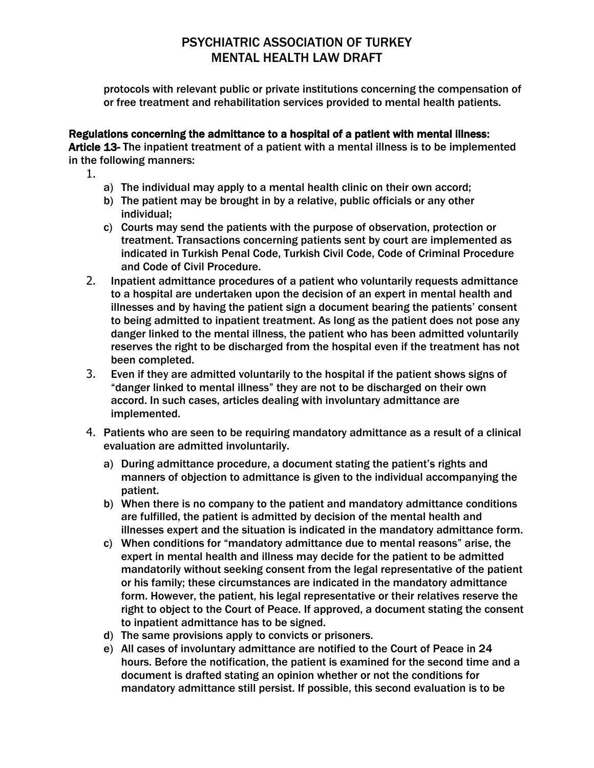protocols with relevant public or private institutions concerning the compensation of or free treatment and rehabilitation services provided to mental health patients.

### Regulations concerning the admittance to a hospital of a patient with mental illness:

Article 13- The inpatient treatment of a patient with a mental illness is to be implemented in the following manners:

- 1.
- a) The individual may apply to a mental health clinic on their own accord;
- b) The patient may be brought in by a relative, public officials or any other individual;
- c) Courts may send the patients with the purpose of observation, protection or treatment. Transactions concerning patients sent by court are implemented as indicated in Turkish Penal Code, Turkish Civil Code, Code of Criminal Procedure and Code of Civil Procedure.
- 2. Inpatient admittance procedures of a patient who voluntarily requests admittance to a hospital are undertaken upon the decision of an expert in mental health and illnesses and by having the patient sign a document bearing the patients' consent to being admitted to inpatient treatment. As long as the patient does not pose any danger linked to the mental illness, the patient who has been admitted voluntarily reserves the right to be discharged from the hospital even if the treatment has not been completed.
- 3. Even if they are admitted voluntarily to the hospital if the patient shows signs of "danger linked to mental illness" they are not to be discharged on their own accord. In such cases, articles dealing with involuntary admittance are implemented.
- 4. Patients who are seen to be requiring mandatory admittance as a result of a clinical evaluation are admitted involuntarily.
	- a) During admittance procedure, a document stating the patient's rights and manners of objection to admittance is given to the individual accompanying the patient.
	- b) When there is no company to the patient and mandatory admittance conditions are fulfilled, the patient is admitted by decision of the mental health and illnesses expert and the situation is indicated in the mandatory admittance form.
	- c) When conditions for "mandatory admittance due to mental reasons" arise, the expert in mental health and illness may decide for the patient to be admitted mandatorily without seeking consent from the legal representative of the patient or his family; these circumstances are indicated in the mandatory admittance form. However, the patient, his legal representative or their relatives reserve the right to object to the Court of Peace. If approved, a document stating the consent to inpatient admittance has to be signed.
	- d) The same provisions apply to convicts or prisoners.
	- e) All cases of involuntary admittance are notified to the Court of Peace in 24 hours. Before the notification, the patient is examined for the second time and a document is drafted stating an opinion whether or not the conditions for mandatory admittance still persist. If possible, this second evaluation is to be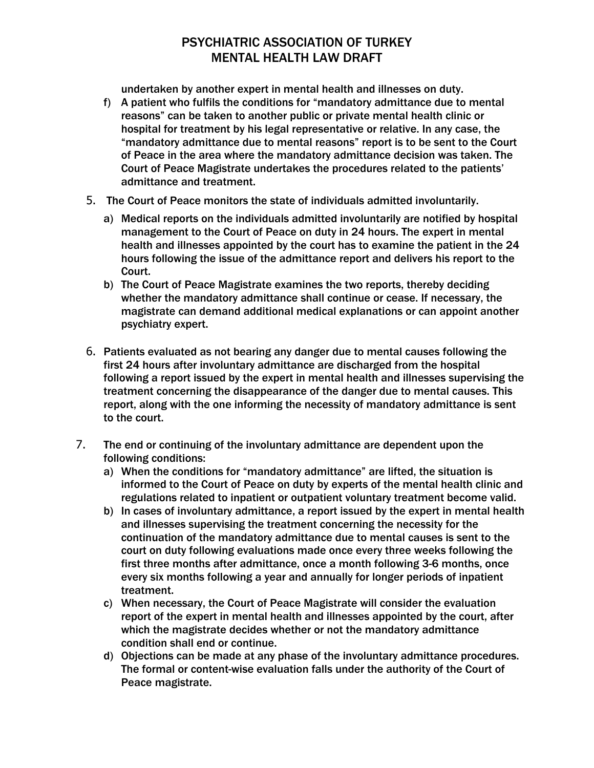undertaken by another expert in mental health and illnesses on duty.

- f) A patient who fulfils the conditions for "mandatory admittance due to mental reasons" can be taken to another public or private mental health clinic or hospital for treatment by his legal representative or relative. In any case, the "mandatory admittance due to mental reasons" report is to be sent to the Court of Peace in the area where the mandatory admittance decision was taken. The Court of Peace Magistrate undertakes the procedures related to the patients' admittance and treatment.
- 5. The Court of Peace monitors the state of individuals admitted involuntarily.
	- a) Medical reports on the individuals admitted involuntarily are notified by hospital management to the Court of Peace on duty in 24 hours. The expert in mental health and illnesses appointed by the court has to examine the patient in the 24 hours following the issue of the admittance report and delivers his report to the Court.
	- b) The Court of Peace Magistrate examines the two reports, thereby deciding whether the mandatory admittance shall continue or cease. If necessary, the magistrate can demand additional medical explanations or can appoint another psychiatry expert.
- 6. Patients evaluated as not bearing any danger due to mental causes following the first 24 hours after involuntary admittance are discharged from the hospital following a report issued by the expert in mental health and illnesses supervising the treatment concerning the disappearance of the danger due to mental causes. This report, along with the one informing the necessity of mandatory admittance is sent to the court.
- 7. The end or continuing of the involuntary admittance are dependent upon the following conditions:
	- a) When the conditions for "mandatory admittance" are lifted, the situation is informed to the Court of Peace on duty by experts of the mental health clinic and regulations related to inpatient or outpatient voluntary treatment become valid.
	- b) In cases of involuntary admittance, a report issued by the expert in mental health and illnesses supervising the treatment concerning the necessity for the continuation of the mandatory admittance due to mental causes is sent to the court on duty following evaluations made once every three weeks following the first three months after admittance, once a month following 3-6 months, once every six months following a year and annually for longer periods of inpatient treatment.
	- c) When necessary, the Court of Peace Magistrate will consider the evaluation report of the expert in mental health and illnesses appointed by the court, after which the magistrate decides whether or not the mandatory admittance condition shall end or continue.
	- d) Objections can be made at any phase of the involuntary admittance procedures. The formal or content-wise evaluation falls under the authority of the Court of Peace magistrate.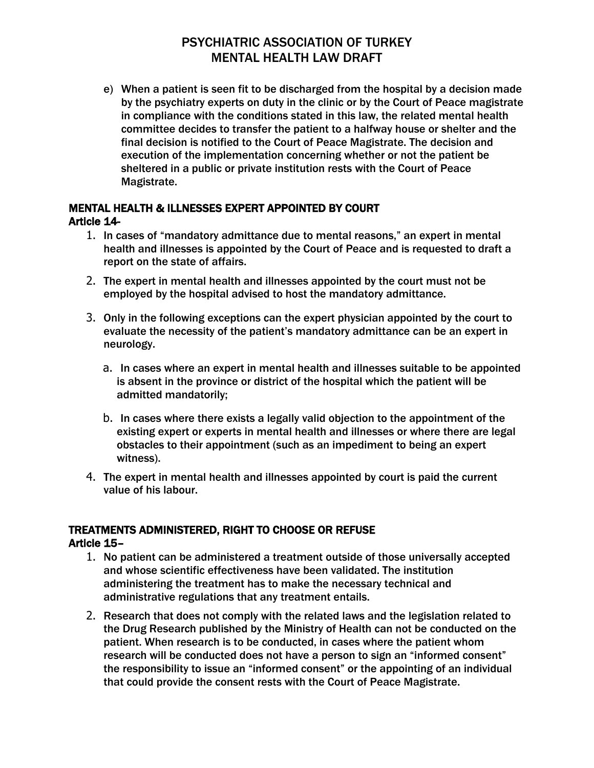e) When a patient is seen fit to be discharged from the hospital by a decision made by the psychiatry experts on duty in the clinic or by the Court of Peace magistrate in compliance with the conditions stated in this law, the related mental health committee decides to transfer the patient to a halfway house or shelter and the final decision is notified to the Court of Peace Magistrate. The decision and execution of the implementation concerning whether or not the patient be sheltered in a public or private institution rests with the Court of Peace Magistrate.

### MENTAL HEALTH & ILLNESSES EXPERT APPOINTED BY COURT Article 14-

- 1. In cases of "mandatory admittance due to mental reasons," an expert in mental health and illnesses is appointed by the Court of Peace and is requested to draft a report on the state of affairs.
- 2. The expert in mental health and illnesses appointed by the court must not be employed by the hospital advised to host the mandatory admittance.
- 3. Only in the following exceptions can the expert physician appointed by the court to evaluate the necessity of the patient's mandatory admittance can be an expert in neurology.
	- a. In cases where an expert in mental health and illnesses suitable to be appointed is absent in the province or district of the hospital which the patient will be admitted mandatorily;
	- b. In cases where there exists a legally valid objection to the appointment of the existing expert or experts in mental health and illnesses or where there are legal obstacles to their appointment (such as an impediment to being an expert witness).
- 4. The expert in mental health and illnesses appointed by court is paid the current value of his labour.

#### TREATMENTS ADMINISTERED, RIGHT TO CHOOSE OR REFUSE Article 15–

- 1. No patient can be administered a treatment outside of those universally accepted and whose scientific effectiveness have been validated. The institution administering the treatment has to make the necessary technical and administrative regulations that any treatment entails.
- 2. Research that does not comply with the related laws and the legislation related to the Drug Research published by the Ministry of Health can not be conducted on the patient. When research is to be conducted, in cases where the patient whom research will be conducted does not have a person to sign an "informed consent" the responsibility to issue an "informed consent" or the appointing of an individual that could provide the consent rests with the Court of Peace Magistrate.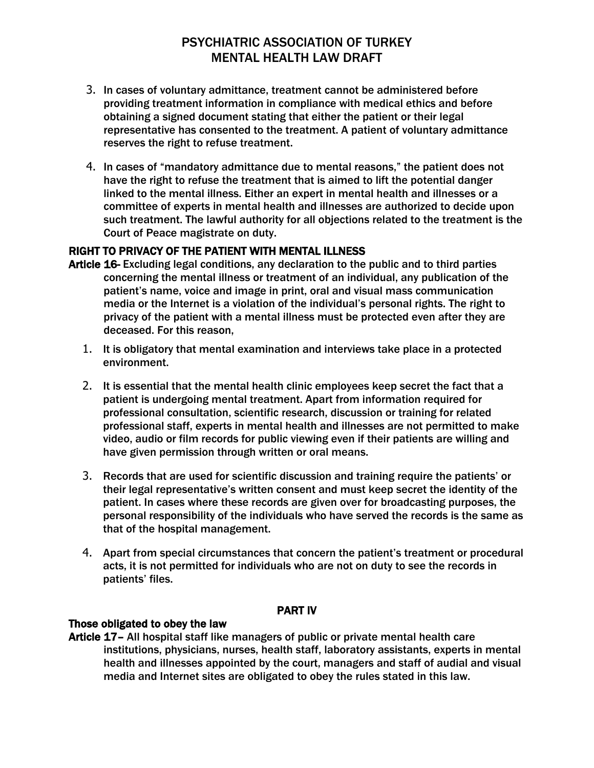- 3. In cases of voluntary admittance, treatment cannot be administered before providing treatment information in compliance with medical ethics and before obtaining a signed document stating that either the patient or their legal representative has consented to the treatment. A patient of voluntary admittance reserves the right to refuse treatment.
- 4. In cases of "mandatory admittance due to mental reasons," the patient does not have the right to refuse the treatment that is aimed to lift the potential danger linked to the mental illness. Either an expert in mental health and illnesses or a committee of experts in mental health and illnesses are authorized to decide upon such treatment. The lawful authority for all objections related to the treatment is the Court of Peace magistrate on duty.

### RIGHT TO PRIVACY OF THE PATIENT WITH MENTAL ILLNESS

- Article 16- Excluding legal conditions, any declaration to the public and to third parties concerning the mental illness or treatment of an individual, any publication of the patient's name, voice and image in print, oral and visual mass communication media or the Internet is a violation of the individual's personal rights. The right to privacy of the patient with a mental illness must be protected even after they are deceased. For this reason,
	- 1. It is obligatory that mental examination and interviews take place in a protected environment.
	- 2. It is essential that the mental health clinic employees keep secret the fact that a patient is undergoing mental treatment. Apart from information required for professional consultation, scientific research, discussion or training for related professional staff, experts in mental health and illnesses are not permitted to make video, audio or film records for public viewing even if their patients are willing and have given permission through written or oral means.
	- 3. Records that are used for scientific discussion and training require the patients' or their legal representative's written consent and must keep secret the identity of the patient. In cases where these records are given over for broadcasting purposes, the personal responsibility of the individuals who have served the records is the same as that of the hospital management.
	- 4. Apart from special circumstances that concern the patient's treatment or procedural acts, it is not permitted for individuals who are not on duty to see the records in patients' files.

#### PART IV

#### Those obligated to obey the law

Article 17– All hospital staff like managers of public or private mental health care institutions, physicians, nurses, health staff, laboratory assistants, experts in mental health and illnesses appointed by the court, managers and staff of audial and visual media and Internet sites are obligated to obey the rules stated in this law.